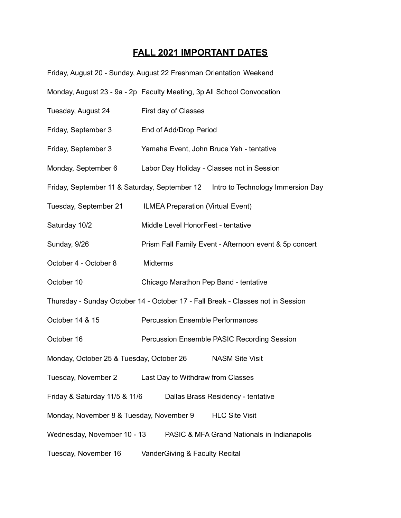## **FALL 2021 IMPORTANT DATES**

| Friday, August 20 - Sunday, August 22 Freshman Orientation Weekend              |                                                                                    |  |
|---------------------------------------------------------------------------------|------------------------------------------------------------------------------------|--|
|                                                                                 | Monday, August 23 - 9a - 2p Faculty Meeting, 3p All School Convocation             |  |
| Tuesday, August 24                                                              | First day of Classes                                                               |  |
| Friday, September 3                                                             | End of Add/Drop Period                                                             |  |
| Friday, September 3                                                             | Yamaha Event, John Bruce Yeh - tentative                                           |  |
| Monday, September 6                                                             | Labor Day Holiday - Classes not in Session                                         |  |
|                                                                                 | Friday, September 11 & Saturday, September 12    Intro to Technology Immersion Day |  |
| Tuesday, September 21                                                           | ILMEA Preparation (Virtual Event)                                                  |  |
| Saturday 10/2                                                                   | Middle Level HonorFest - tentative                                                 |  |
| Sunday, 9/26                                                                    | Prism Fall Family Event - Afternoon event & 5p concert                             |  |
| October 4 - October 8                                                           | Midterms                                                                           |  |
| October 10                                                                      | Chicago Marathon Pep Band - tentative                                              |  |
| Thursday - Sunday October 14 - October 17 - Fall Break - Classes not in Session |                                                                                    |  |
| October 14 & 15                                                                 | <b>Percussion Ensemble Performances</b>                                            |  |
| October 16                                                                      | Percussion Ensemble PASIC Recording Session                                        |  |
| Monday, October 25 & Tuesday, October 26                                        | <b>NASM Site Visit</b>                                                             |  |
| Tuesday, November 2                                                             | Last Day to Withdraw from Classes                                                  |  |
| Friday & Saturday 11/5 & 11/6                                                   | Dallas Brass Residency - tentative                                                 |  |
| Monday, November 8 & Tuesday, November 9<br><b>HLC Site Visit</b>               |                                                                                    |  |
| Wednesday, November 10 - 13                                                     | PASIC & MFA Grand Nationals in Indianapolis                                        |  |
| Tuesday, November 16                                                            | VanderGiving & Faculty Recital                                                     |  |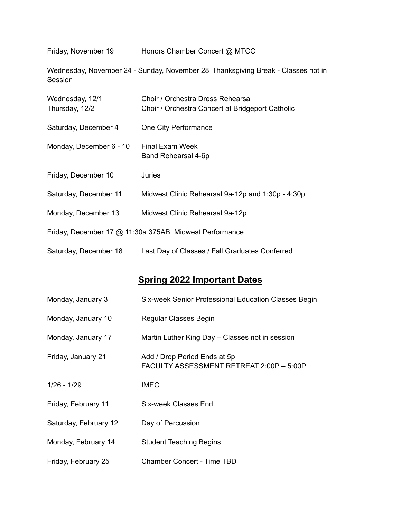Friday, November 19 Honors Chamber Concert @ MTCC

Wednesday, November 24 - Sunday, November 28 Thanksgiving Break - Classes not in Session

| Wednesday, 12/1<br>Thursday, 12/2 | Choir / Orchestra Dress Rehearsal<br>Choir / Orchestra Concert at Bridgeport Catholic |
|-----------------------------------|---------------------------------------------------------------------------------------|
| Saturday, December 4              | One City Performance                                                                  |
| Monday, December 6 - 10           | <b>Final Exam Week</b><br>Band Rehearsal 4-6p                                         |
| Friday, December 10               | Juries                                                                                |
| Saturday, December 11             | Midwest Clinic Rehearsal 9a-12p and 1:30p - 4:30p                                     |
| Monday, December 13               | Midwest Clinic Rehearsal 9a-12p                                                       |
|                                   | Friday, December 17 @ 11:30a 375AB Midwest Performance                                |
| Saturday, December 18             | Last Day of Classes / Fall Graduates Conferred                                        |

## **Spring 2022 Important Dates**

| Monday, January 3     | Six-week Senior Professional Education Classes Begin                     |
|-----------------------|--------------------------------------------------------------------------|
| Monday, January 10    | Regular Classes Begin                                                    |
| Monday, January 17    | Martin Luther King Day - Classes not in session                          |
| Friday, January 21    | Add / Drop Period Ends at 5p<br>FACULTY ASSESSMENT RETREAT 2:00P - 5:00P |
| $1/26 - 1/29$         | <b>IMEC</b>                                                              |
| Friday, February 11   | Six-week Classes End                                                     |
| Saturday, February 12 | Day of Percussion                                                        |
| Monday, February 14   | <b>Student Teaching Begins</b>                                           |
| Friday, February 25   | <b>Chamber Concert - Time TBD</b>                                        |